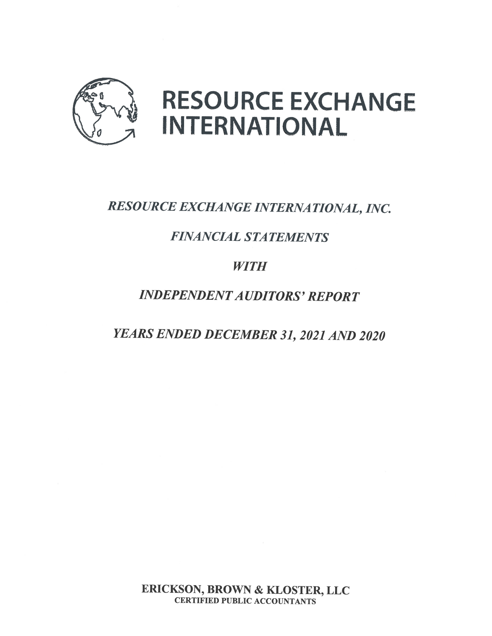

# RESOURCE EXCHANGE INTERNATIONAL, INC.

## **FINANCIAL STATEMENTS**

## **WITH**

## **INDEPENDENT AUDITORS' REPORT**

YEARS ENDED DECEMBER 31, 2021 AND 2020

**ERICKSON, BROWN & KLOSTER, LLC**<br>CERTIFIED PUBLIC ACCOUNTANTS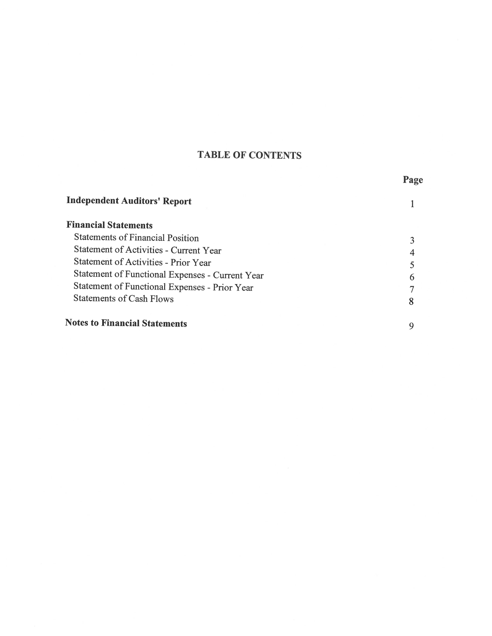#### **TABLE OF CONTENTS**

#### Page **Independent Auditors' Report**  $\mathbf{1}$ **Financial Statements Statements of Financial Position**  $\overline{3}$ Statement of Activities - Current Year  $\overline{4}$ Statement of Activities - Prior Year 5 Statement of Functional Expenses - Current Year 6 Statement of Functional Expenses - Prior Year  $\boldsymbol{7}$ **Statements of Cash Flows** 8 **Notes to Financial Statements** 9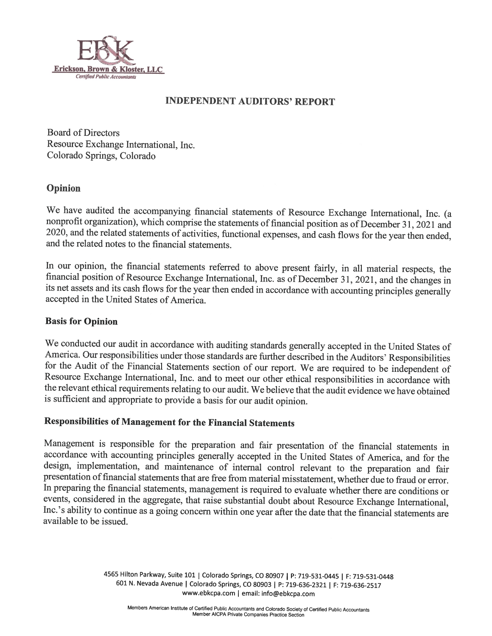

## **INDEPENDENT AUDITORS' REPORT**

**Board of Directors** Resource Exchange International, Inc. Colorado Springs, Colorado

#### Opinion

We have audited the accompanying financial statements of Resource Exchange International, Inc. (a nonprofit organization), which comprise the statements of financial position as of December 31, 2021 and 2020, and the related statements of activities, functional expenses, and cash flows for the year then ended, and the related notes to the financial statements.

In our opinion, the financial statements referred to above present fairly, in all material respects, the financial position of Resource Exchange International, Inc. as of December 31, 2021, and the changes in its net assets and its cash flows for the year then ended in accordance with accounting principles generally accepted in the United States of America.

#### **Basis for Opinion**

We conducted our audit in accordance with auditing standards generally accepted in the United States of America. Our responsibilities under those standards are further described in the Auditors' Responsibilities for the Audit of the Financial Statements section of our report. We are required to be independent of Resource Exchange International, Inc. and to meet our other ethical responsibilities in accordance with the relevant ethical requirements relating to our audit. We believe that the audit evidence we have obtained is sufficient and appropriate to provide a basis for our audit opinion.

## **Responsibilities of Management for the Financial Statements**

Management is responsible for the preparation and fair presentation of the financial statements in accordance with accounting principles generally accepted in the United States of America, and for the design, implementation, and maintenance of internal control relevant to the preparation and fair presentation of financial statements that are free from material misstatement, whether due to fraud or error. In preparing the financial statements, management is required to evaluate whether there are conditions or events, considered in the aggregate, that raise substantial doubt about Resource Exchange International, Inc.'s ability to continue as a going concern within one year after the date that the financial statements are available to be issued.

> 4565 Hilton Parkway, Suite 101 | Colorado Springs, CO 80907 | P: 719-531-0445 | F: 719-531-0448 601 N. Nevada Avenue | Colorado Springs, CO 80903 | P: 719-636-2321 | F: 719-636-2517 www.ebkcpa.com | email: info@ebkcpa.com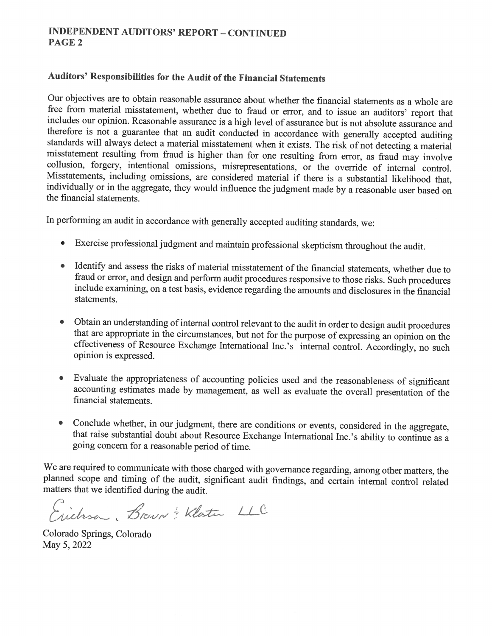#### **INDEPENDENT AUDITORS' REPORT - CONTINUED** PAGE<sub>2</sub>

## Auditors' Responsibilities for the Audit of the Financial Statements

Our objectives are to obtain reasonable assurance about whether the financial statements as a whole are free from material misstatement, whether due to fraud or error, and to issue an auditors' report that includes our opinion. Reasonable assurance is a high level of assurance but is not absolute assurance and therefore is not a guarantee that an audit conducted in accordance with generally accepted auditing standards will always detect a material misstatement when it exists. The risk of not detecting a material misstatement resulting from fraud is higher than for one resulting from error, as fraud may involve collusion, forgery, intentional omissions, misrepresentations, or the override of internal control. Misstatements, including omissions, are considered material if there is a substantial likelihood that, individually or in the aggregate, they would influence the judgment made by a reasonable user based on the financial statements.

In performing an audit in accordance with generally accepted auditing standards, we:

- Exercise professional judgment and maintain professional skepticism throughout the audit.  $\bullet$
- Identify and assess the risks of material misstatement of the financial statements, whether due to  $\bullet$ fraud or error, and design and perform audit procedures responsive to those risks. Such procedures include examining, on a test basis, evidence regarding the amounts and disclosures in the financial statements.
- Obtain an understanding of internal control relevant to the audit in order to design audit procedures that are appropriate in the circumstances, but not for the purpose of expressing an opinion on the effectiveness of Resource Exchange International Inc.'s internal control. Accordingly, no such opinion is expressed.
- Evaluate the appropriateness of accounting policies used and the reasonableness of significant accounting estimates made by management, as well as evaluate the overall presentation of the financial statements.
- Conclude whether, in our judgment, there are conditions or events, considered in the aggregate,  $\bullet$ that raise substantial doubt about Resource Exchange International Inc.'s ability to continue as a going concern for a reasonable period of time.

We are required to communicate with those charged with governance regarding, among other matters, the planned scope and timing of the audit, significant audit findings, and certain internal control related matters that we identified during the audit.

Erichson, Brown & Kloster LLC

Colorado Springs, Colorado May 5, 2022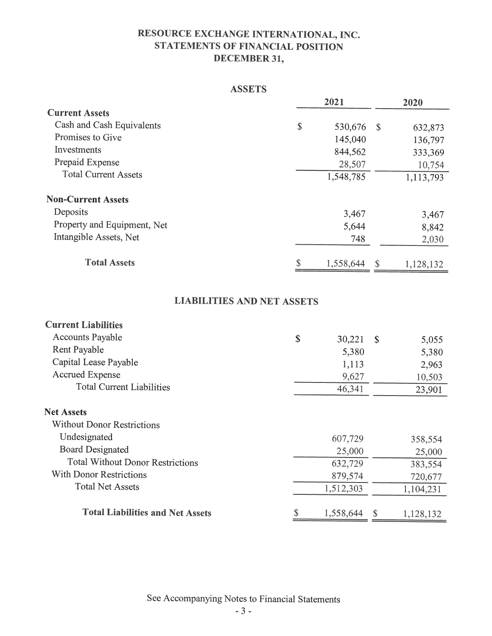## RESOURCE EXCHANGE INTERNATIONAL, INC. STATEMENTS OF FINANCIAL POSITION DECEMBER 31,

#### **ASSETS**

|                             |    | 2021      | 2020 |           |
|-----------------------------|----|-----------|------|-----------|
| <b>Current Assets</b>       |    |           |      |           |
| Cash and Cash Equivalents   | \$ | 530,676   | -S   | 632,873   |
| Promises to Give            |    | 145,040   |      | 136,797   |
| Investments                 |    | 844,562   |      | 333,369   |
| Prepaid Expense             |    | 28,507    |      | 10,754    |
| <b>Total Current Assets</b> |    | 1,548,785 |      | 1,113,793 |
| <b>Non-Current Assets</b>   |    |           |      |           |
| Deposits                    |    | 3,467     |      | 3,467     |
| Property and Equipment, Net |    | 5,644     |      | 8,842     |
| Intangible Assets, Net      |    | 748       |      | 2,030     |
| <b>Total Assets</b>         | \$ | 1,558,644 | S    | 1,128,132 |

## **LIABILITIES AND NET ASSETS**

| <b>Current Liabilities</b>              |              |              |           |
|-----------------------------------------|--------------|--------------|-----------|
| <b>Accounts Payable</b>                 | \$<br>30,221 | $\mathbb{S}$ | 5,055     |
| Rent Payable                            | 5,380        |              | 5,380     |
| Capital Lease Payable                   | 1,113        |              | 2,963     |
| <b>Accrued Expense</b>                  | 9,627        |              | 10,503    |
| <b>Total Current Liabilities</b>        | 46,341       |              | 23,901    |
| <b>Net Assets</b>                       |              |              |           |
| <b>Without Donor Restrictions</b>       |              |              |           |
| Undesignated                            | 607,729      |              | 358,554   |
| <b>Board Designated</b>                 | 25,000       |              | 25,000    |
| <b>Total Without Donor Restrictions</b> | 632,729      |              | 383,554   |
| <b>With Donor Restrictions</b>          | 879,574      |              | 720,677   |
| <b>Total Net Assets</b>                 | 1,512,303    |              | 1,104,231 |
| <b>Total Liabilities and Net Assets</b> | 1,558,644    | S            | 1,128,132 |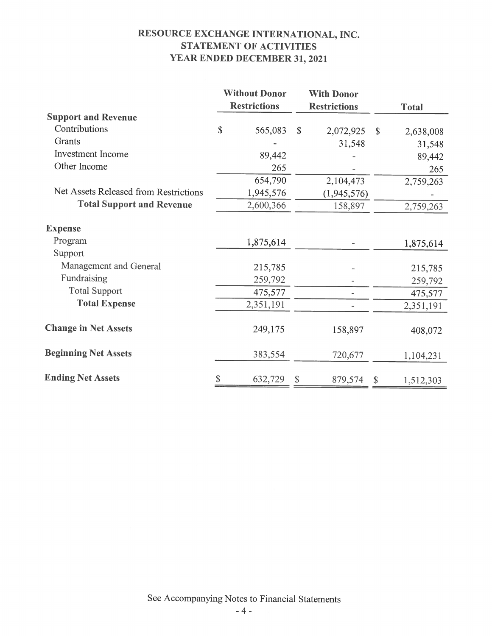## RESOURCE EXCHANGE INTERNATIONAL, INC. **STATEMENT OF ACTIVITIES** YEAR ENDED DECEMBER 31, 2021

|                                       | <b>Without Donor</b><br><b>Restrictions</b> |           | <b>With Donor</b> |                     |              |              |  |
|---------------------------------------|---------------------------------------------|-----------|-------------------|---------------------|--------------|--------------|--|
|                                       |                                             |           |                   | <b>Restrictions</b> |              | <b>Total</b> |  |
| <b>Support and Revenue</b>            |                                             |           |                   |                     |              |              |  |
| Contributions                         | $\mathcal{S}$                               | 565,083   | $\mathbb{S}$      | 2,072,925           | $\mathbb{S}$ | 2,638,008    |  |
| Grants                                |                                             |           |                   | 31,548              |              | 31,548       |  |
| <b>Investment</b> Income              |                                             | 89,442    |                   |                     |              | 89,442       |  |
| Other Income                          |                                             | 265       |                   |                     |              | 265          |  |
|                                       |                                             | 654,790   |                   | 2,104,473           |              | 2,759,263    |  |
| Net Assets Released from Restrictions |                                             | 1,945,576 |                   | (1,945,576)         |              |              |  |
| <b>Total Support and Revenue</b>      |                                             | 2,600,366 |                   | 158,897             |              | 2,759,263    |  |
| <b>Expense</b>                        |                                             |           |                   |                     |              |              |  |
| Program                               |                                             | 1,875,614 |                   |                     |              | 1,875,614    |  |
| Support                               |                                             |           |                   |                     |              |              |  |
| Management and General                |                                             | 215,785   |                   |                     |              | 215,785      |  |
| Fundraising                           |                                             | 259,792   |                   |                     |              | 259,792      |  |
| <b>Total Support</b>                  |                                             | 475,577   |                   |                     |              | 475,577      |  |
| <b>Total Expense</b>                  |                                             | 2,351,191 |                   |                     |              | 2,351,191    |  |
| <b>Change in Net Assets</b>           |                                             | 249,175   |                   | 158,897             |              | 408,072      |  |
| <b>Beginning Net Assets</b>           |                                             | 383,554   |                   | 720,677             |              | 1,104,231    |  |
| <b>Ending Net Assets</b>              | \$                                          | 632,729   |                   | 879,574             | \$           | 1,512,303    |  |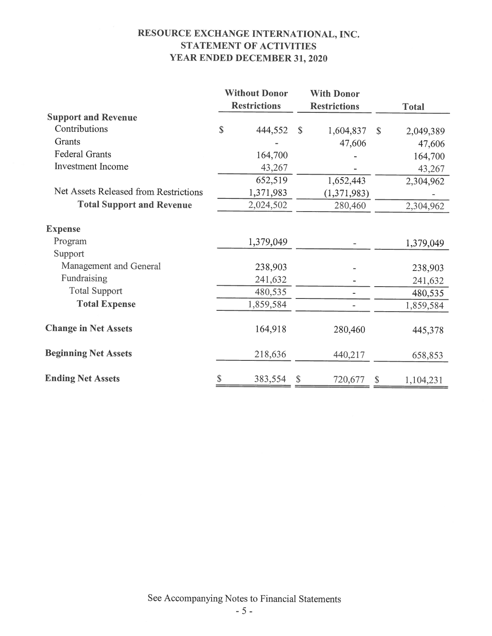## RESOURCE EXCHANGE INTERNATIONAL, INC. **STATEMENT OF ACTIVITIES** YEAR ENDED DECEMBER 31, 2020

|                                       |             | <b>Without Donor</b><br><b>Restrictions</b> |               | <b>With Donor</b><br><b>Restrictions</b> |              | <b>Total</b> |
|---------------------------------------|-------------|---------------------------------------------|---------------|------------------------------------------|--------------|--------------|
| <b>Support and Revenue</b>            |             |                                             |               |                                          |              |              |
| Contributions                         | $\mathbf S$ | 444,552                                     | $\mathcal{S}$ | 1,604,837                                | $\mathbb{S}$ | 2,049,389    |
| Grants                                |             |                                             |               | 47,606                                   |              | 47,606       |
| <b>Federal Grants</b>                 |             | 164,700                                     |               |                                          |              | 164,700      |
| <b>Investment</b> Income              |             | 43,267                                      |               |                                          |              | 43,267       |
|                                       |             | 652,519                                     |               | 1,652,443                                |              | 2,304,962    |
| Net Assets Released from Restrictions |             | 1,371,983                                   |               | (1,371,983)                              |              |              |
| <b>Total Support and Revenue</b>      |             | 2,024,502                                   |               | 280,460                                  |              | 2,304,962    |
| <b>Expense</b>                        |             |                                             |               |                                          |              |              |
| Program                               |             | 1,379,049                                   |               |                                          |              | 1,379,049    |
| Support                               |             |                                             |               |                                          |              |              |
| Management and General                |             | 238,903                                     |               |                                          |              | 238,903      |
| Fundraising                           |             | 241,632                                     |               |                                          |              | 241,632      |
| <b>Total Support</b>                  |             | 480,535                                     |               |                                          |              | 480,535      |
| <b>Total Expense</b>                  |             | 1,859,584                                   |               |                                          |              | 1,859,584    |
| <b>Change in Net Assets</b>           |             | 164,918                                     |               | 280,460                                  |              | 445,378      |
| <b>Beginning Net Assets</b>           |             | 218,636                                     |               | 440,217                                  |              | 658,853      |
| <b>Ending Net Assets</b>              | \$          | 383,554                                     | \$            | 720,677                                  | $\mathbb{S}$ | 1,104,231    |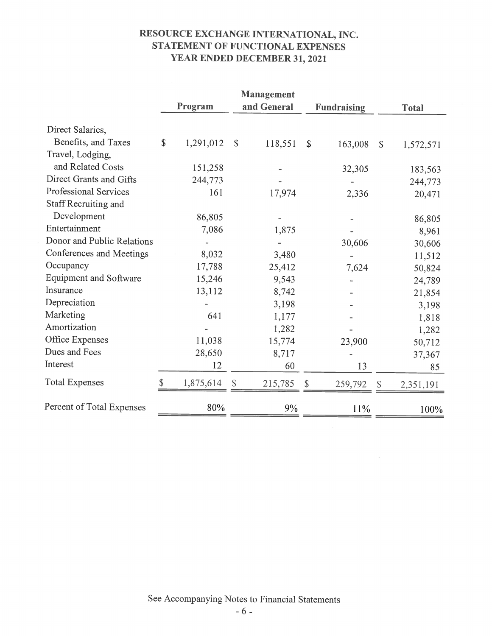## RESOURCE EXCHANGE INTERNATIONAL, INC. STATEMENT OF FUNCTIONAL EXPENSES YEAR ENDED DECEMBER 31, 2021

|                               |              |           |               | <b>Management</b> |              |                    |               |              |
|-------------------------------|--------------|-----------|---------------|-------------------|--------------|--------------------|---------------|--------------|
|                               |              | Program   |               | and General       |              | <b>Fundraising</b> |               | <b>Total</b> |
| Direct Salaries,              |              |           |               |                   |              |                    |               |              |
| Benefits, and Taxes           | $\mathbb{S}$ | 1,291,012 | $\mathcal{S}$ | 118,551           | $\mathbb{S}$ | 163,008            | $\mathcal{S}$ | 1,572,571    |
| Travel, Lodging,              |              |           |               |                   |              |                    |               |              |
| and Related Costs             |              | 151,258   |               |                   |              | 32,305             |               | 183,563      |
| Direct Grants and Gifts       |              | 244,773   |               |                   |              |                    |               | 244,773      |
| <b>Professional Services</b>  |              | 161       |               | 17,974            |              | 2,336              |               | 20,471       |
| <b>Staff Recruiting and</b>   |              |           |               |                   |              |                    |               |              |
| Development                   |              | 86,805    |               |                   |              |                    |               | 86,805       |
| Entertainment                 |              | 7,086     |               | 1,875             |              |                    |               | 8,961        |
| Donor and Public Relations    |              |           |               |                   |              | 30,606             |               | 30,606       |
| Conferences and Meetings      |              | 8,032     |               | 3,480             |              |                    |               | 11,512       |
| Occupancy                     |              | 17,788    |               | 25,412            |              | 7,624              |               | 50,824       |
| <b>Equipment and Software</b> |              | 15,246    |               | 9,543             |              |                    |               | 24,789       |
| Insurance                     |              | 13,112    |               | 8,742             |              |                    |               | 21,854       |
| Depreciation                  |              |           |               | 3,198             |              |                    |               | 3,198        |
| Marketing                     |              | 641       |               | 1,177             |              |                    |               | 1,818        |
| Amortization                  |              |           |               | 1,282             |              |                    |               | 1,282        |
| Office Expenses               |              | 11,038    |               | 15,774            |              | 23,900             |               | 50,712       |
| Dues and Fees                 |              | 28,650    |               | 8,717             |              |                    |               | 37,367       |
| Interest                      |              | 12        |               | 60                |              | 13                 |               | 85           |
| <b>Total Expenses</b>         |              | 1,875,614 | S             | 215,785           | $\mathbb{S}$ | 259,792            | $\mathbb{S}$  | 2,351,191    |
| Percent of Total Expenses     |              | 80%       |               | 9%                |              | 11%                |               | 100%         |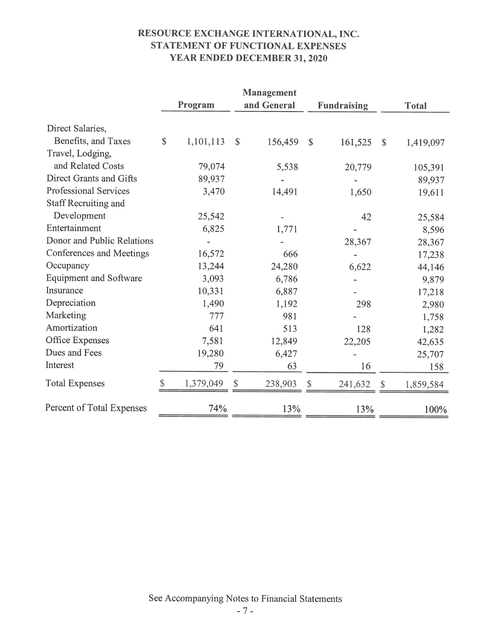## RESOURCE EXCHANGE INTERNATIONAL, INC. STATEMENT OF FUNCTIONAL EXPENSES YEAR ENDED DECEMBER 31, 2020

|                               |              |           |               | <b>Management</b> |              |                    |               |              |
|-------------------------------|--------------|-----------|---------------|-------------------|--------------|--------------------|---------------|--------------|
|                               |              | Program   |               | and General       |              | <b>Fundraising</b> |               | <b>Total</b> |
| Direct Salaries,              |              |           |               |                   |              |                    |               |              |
| Benefits, and Taxes           | $\mathbb{S}$ | 1,101,113 | $\mathcal{S}$ | 156,459           | $\mathbb{S}$ | 161,525            | $\mathcal{S}$ | 1,419,097    |
| Travel, Lodging,              |              |           |               |                   |              |                    |               |              |
| and Related Costs             |              | 79,074    |               | 5,538             |              | 20,779             |               | 105,391      |
| Direct Grants and Gifts       |              | 89,937    |               |                   |              |                    |               | 89,937       |
| Professional Services         |              | 3,470     |               | 14,491            |              | 1,650              |               | 19,611       |
| <b>Staff Recruiting and</b>   |              |           |               |                   |              |                    |               |              |
| Development                   |              | 25,542    |               |                   |              | 42                 |               | 25,584       |
| Entertainment                 |              | 6,825     |               | 1,771             |              |                    |               | 8,596        |
| Donor and Public Relations    |              |           |               |                   |              | 28,367             |               | 28,367       |
| Conferences and Meetings      |              | 16,572    |               | 666               |              |                    |               | 17,238       |
| Occupancy                     |              | 13,244    |               | 24,280            |              | 6,622              |               | 44,146       |
| <b>Equipment and Software</b> |              | 3,093     |               | 6,786             |              |                    |               | 9,879        |
| Insurance                     |              | 10,331    |               | 6,887             |              |                    |               | 17,218       |
| Depreciation                  |              | 1,490     |               | 1,192             |              | 298                |               | 2,980        |
| Marketing                     |              | 777       |               | 981               |              |                    |               | 1,758        |
| Amortization                  |              | 641       |               | 513               |              | 128                |               | 1,282        |
| Office Expenses               |              | 7,581     |               | 12,849            |              | 22,205             |               | 42,635       |
| Dues and Fees                 |              | 19,280    |               | 6,427             |              |                    |               | 25,707       |
| Interest                      |              | 79        |               | 63                |              | 16                 |               | 158          |
| <b>Total Expenses</b>         |              | 1,379,049 | $\mathbb{S}$  | 238,903           | S            | 241,632            | $\mathbb{S}$  | 1,859,584    |
| Percent of Total Expenses     |              | 74%       |               | 13%               |              | 13%                |               | 100%         |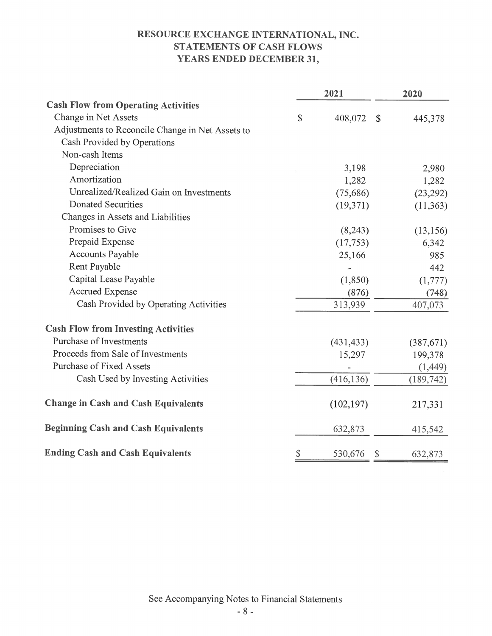## RESOURCE EXCHANGE INTERNATIONAL, INC. **STATEMENTS OF CASH FLOWS** YEARS ENDED DECEMBER 31,

|                                                  | 2021          | 2020          |            |  |
|--------------------------------------------------|---------------|---------------|------------|--|
| <b>Cash Flow from Operating Activities</b>       |               |               |            |  |
| Change in Net Assets                             | \$<br>408,072 | $\mathcal{S}$ | 445,378    |  |
| Adjustments to Reconcile Change in Net Assets to |               |               |            |  |
| Cash Provided by Operations                      |               |               |            |  |
| Non-cash Items                                   |               |               |            |  |
| Depreciation                                     | 3,198         |               | 2,980      |  |
| Amortization                                     | 1,282         |               | 1,282      |  |
| Unrealized/Realized Gain on Investments          | (75,686)      |               | (23, 292)  |  |
| Donated Securities                               | (19,371)      |               | (11, 363)  |  |
| Changes in Assets and Liabilities                |               |               |            |  |
| Promises to Give                                 | (8,243)       |               | (13, 156)  |  |
| Prepaid Expense                                  | (17,753)      |               | 6,342      |  |
| <b>Accounts Payable</b>                          | 25,166        |               | 985        |  |
| Rent Payable                                     | i.            |               | 442        |  |
| Capital Lease Payable                            | (1, 850)      |               | (1,777)    |  |
| <b>Accrued Expense</b>                           | (876)         |               | (748)      |  |
| Cash Provided by Operating Activities            | 313,939       |               | 407,073    |  |
| <b>Cash Flow from Investing Activities</b>       |               |               |            |  |
| Purchase of Investments                          | (431, 433)    |               | (387,671)  |  |
| Proceeds from Sale of Investments                | 15,297        |               | 199,378    |  |
| <b>Purchase of Fixed Assets</b>                  |               |               | (1,449)    |  |
| Cash Used by Investing Activities                | (416, 136)    |               | (189, 742) |  |
| <b>Change in Cash and Cash Equivalents</b>       | (102, 197)    |               | 217,331    |  |
| <b>Beginning Cash and Cash Equivalents</b>       | 632,873       |               | 415,542    |  |
| <b>Ending Cash and Cash Equivalents</b>          | \$<br>530,676 |               | 632,873    |  |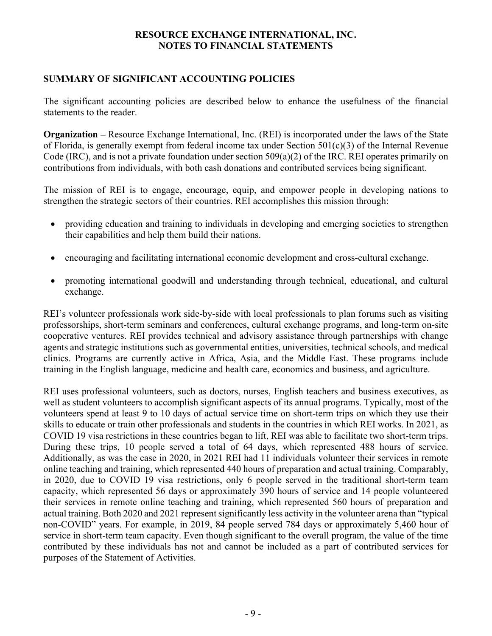## **SUMMARY OF SIGNIFICANT ACCOUNTING POLICIES**

The significant accounting policies are described below to enhance the usefulness of the financial statements to the reader.

**Organization –** Resource Exchange International, Inc. (REI) is incorporated under the laws of the State of Florida, is generally exempt from federal income tax under Section  $501(c)(3)$  of the Internal Revenue Code (IRC), and is not a private foundation under section 509(a)(2) of the IRC. REI operates primarily on contributions from individuals, with both cash donations and contributed services being significant.

The mission of REI is to engage, encourage, equip, and empower people in developing nations to strengthen the strategic sectors of their countries. REI accomplishes this mission through:

- providing education and training to individuals in developing and emerging societies to strengthen their capabilities and help them build their nations.
- encouraging and facilitating international economic development and cross-cultural exchange.
- promoting international goodwill and understanding through technical, educational, and cultural exchange.

REI's volunteer professionals work side-by-side with local professionals to plan forums such as visiting professorships, short-term seminars and conferences, cultural exchange programs, and long-term on-site cooperative ventures. REI provides technical and advisory assistance through partnerships with change agents and strategic institutions such as governmental entities, universities, technical schools, and medical clinics. Programs are currently active in Africa, Asia, and the Middle East. These programs include training in the English language, medicine and health care, economics and business, and agriculture.

REI uses professional volunteers, such as doctors, nurses, English teachers and business executives, as well as student volunteers to accomplish significant aspects of its annual programs. Typically, most of the volunteers spend at least 9 to 10 days of actual service time on short-term trips on which they use their skills to educate or train other professionals and students in the countries in which REI works. In 2021, as COVID 19 visa restrictions in these countries began to lift, REI was able to facilitate two short-term trips. During these trips, 10 people served a total of 64 days, which represented 488 hours of service. Additionally, as was the case in 2020, in 2021 REI had 11 individuals volunteer their services in remote online teaching and training, which represented 440 hours of preparation and actual training. Comparably, in 2020, due to COVID 19 visa restrictions, only 6 people served in the traditional short-term team capacity, which represented 56 days or approximately 390 hours of service and 14 people volunteered their services in remote online teaching and training, which represented 560 hours of preparation and actual training. Both 2020 and 2021 represent significantly less activity in the volunteer arena than "typical non-COVID" years. For example, in 2019, 84 people served 784 days or approximately 5,460 hour of service in short-term team capacity. Even though significant to the overall program, the value of the time contributed by these individuals has not and cannot be included as a part of contributed services for purposes of the Statement of Activities.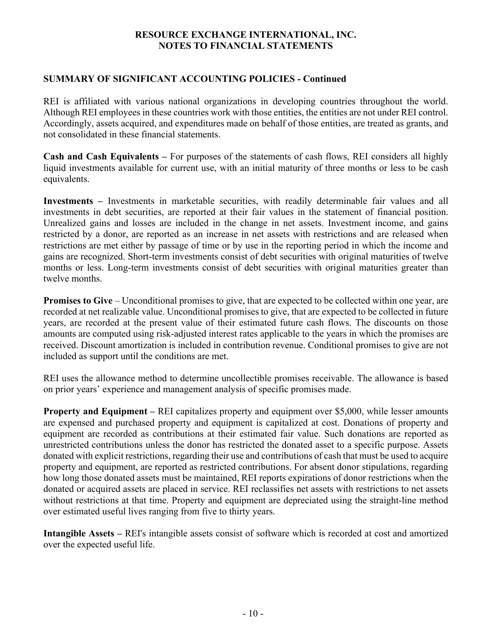## **SUMMARY OF SIGNIFICANT ACCOUNTING POLICIES** *-* **Continued**

REI is affiliated with various national organizations in developing countries throughout the world. Although REI employees in these countries work with those entities, the entities are not under REI control. Accordingly, assets acquired, and expenditures made on behalf of those entities, are treated as grants, and not consolidated in these financial statements.

**Cash and Cash Equivalents –** For purposes of the statements of cash flows, REI considers all highly liquid investments available for current use, with an initial maturity of three months or less to be cash equivalents.

**Investments –** Investments in marketable securities, with readily determinable fair values and all investments in debt securities, are reported at their fair values in the statement of financial position. Unrealized gains and losses are included in the change in net assets. Investment income, and gains restricted by a donor, are reported as an increase in net assets with restrictions and are released when restrictions are met either by passage of time or by use in the reporting period in which the income and gains are recognized. Short-term investments consist of debt securities with original maturities of twelve months or less. Long-term investments consist of debt securities with original maturities greater than twelve months.

**Promises to Give** – Unconditional promises to give, that are expected to be collected within one year, are recorded at net realizable value. Unconditional promises to give, that are expected to be collected in future years, are recorded at the present value of their estimated future cash flows. The discounts on those amounts are computed using risk-adjusted interest rates applicable to the years in which the promises are received. Discount amortization is included in contribution revenue. Conditional promises to give are not included as support until the conditions are met.

REI uses the allowance method to determine uncollectible promises receivable. The allowance is based on prior years' experience and management analysis of specific promises made.

**Property and Equipment** – REI capitalizes property and equipment over \$5,000, while lesser amounts are expensed and purchased property and equipment is capitalized at cost. Donations of property and equipment are recorded as contributions at their estimated fair value. Such donations are reported as unrestricted contributions unless the donor has restricted the donated asset to a specific purpose. Assets donated with explicit restrictions, regarding their use and contributions of cash that must be used to acquire property and equipment, are reported as restricted contributions. For absent donor stipulations, regarding how long those donated assets must be maintained, REI reports expirations of donor restrictions when the donated or acquired assets are placed in service. REI reclassifies net assets with restrictions to net assets without restrictions at that time. Property and equipment are depreciated using the straight-line method over estimated useful lives ranging from five to thirty years.

**Intangible Assets –** REI's intangible assets consist of software which is recorded at cost and amortized over the expected useful life.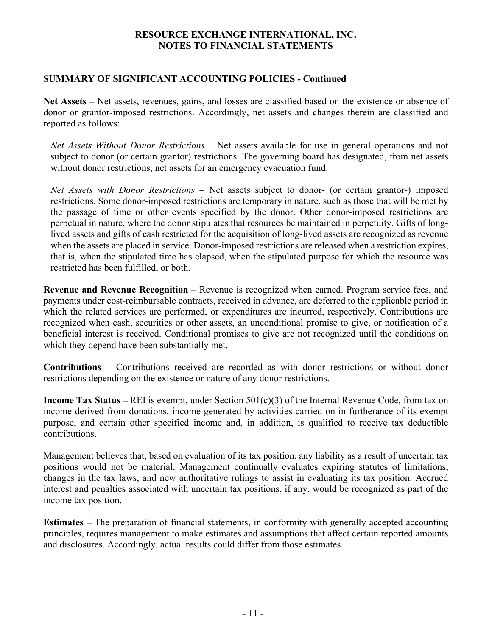## **SUMMARY OF SIGNIFICANT ACCOUNTING POLICIES** *-* **Continued**

**Net Assets –** Net assets, revenues, gains, and losses are classified based on the existence or absence of donor or grantor-imposed restrictions. Accordingly, net assets and changes therein are classified and reported as follows:

*Net Assets Without Donor Restrictions* – Net assets available for use in general operations and not subject to donor (or certain grantor) restrictions. The governing board has designated, from net assets without donor restrictions, net assets for an emergency evacuation fund.

*Net Assets with Donor Restrictions* – Net assets subject to donor- (or certain grantor-) imposed restrictions. Some donor-imposed restrictions are temporary in nature, such as those that will be met by the passage of time or other events specified by the donor. Other donor-imposed restrictions are perpetual in nature, where the donor stipulates that resources be maintained in perpetuity. Gifts of longlived assets and gifts of cash restricted for the acquisition of long-lived assets are recognized as revenue when the assets are placed in service. Donor-imposed restrictions are released when a restriction expires, that is, when the stipulated time has elapsed, when the stipulated purpose for which the resource was restricted has been fulfilled, or both.

**Revenue and Revenue Recognition –** Revenue is recognized when earned. Program service fees, and payments under cost-reimbursable contracts, received in advance, are deferred to the applicable period in which the related services are performed, or expenditures are incurred, respectively. Contributions are recognized when cash, securities or other assets, an unconditional promise to give, or notification of a beneficial interest is received. Conditional promises to give are not recognized until the conditions on which they depend have been substantially met.

**Contributions –** Contributions received are recorded as with donor restrictions or without donor restrictions depending on the existence or nature of any donor restrictions.

**Income Tax Status –** REI is exempt, under Section 501(c)(3) of the Internal Revenue Code, from tax on income derived from donations, income generated by activities carried on in furtherance of its exempt purpose, and certain other specified income and, in addition, is qualified to receive tax deductible contributions.

Management believes that, based on evaluation of its tax position, any liability as a result of uncertain tax positions would not be material. Management continually evaluates expiring statutes of limitations, changes in the tax laws, and new authoritative rulings to assist in evaluating its tax position. Accrued interest and penalties associated with uncertain tax positions, if any, would be recognized as part of the income tax position.

**Estimates –** The preparation of financial statements, in conformity with generally accepted accounting principles, requires management to make estimates and assumptions that affect certain reported amounts and disclosures. Accordingly, actual results could differ from those estimates.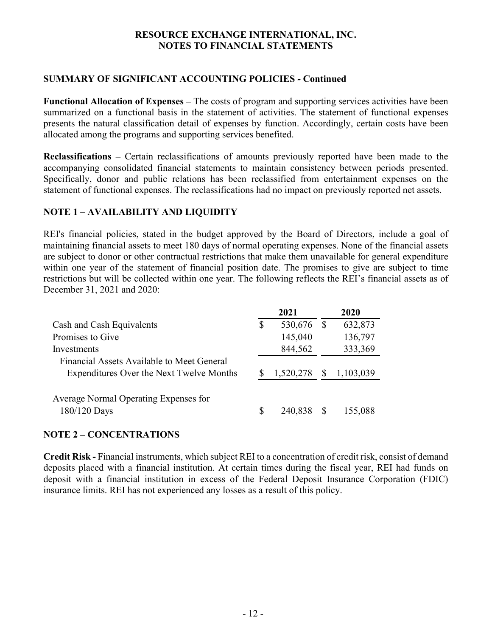## **SUMMARY OF SIGNIFICANT ACCOUNTING POLICIES** *-* **Continued**

**Functional Allocation of Expenses –** The costs of program and supporting services activities have been summarized on a functional basis in the statement of activities. The statement of functional expenses presents the natural classification detail of expenses by function. Accordingly, certain costs have been allocated among the programs and supporting services benefited.

**Reclassifications –** Certain reclassifications of amounts previously reported have been made to the accompanying consolidated financial statements to maintain consistency between periods presented. Specifically, donor and public relations has been reclassified from entertainment expenses on the statement of functional expenses. The reclassifications had no impact on previously reported net assets.

## **NOTE 1 – AVAILABILITY AND LIQUIDITY**

REI's financial policies, stated in the budget approved by the Board of Directors, include a goal of maintaining financial assets to meet 180 days of normal operating expenses. None of the financial assets are subject to donor or other contractual restrictions that make them unavailable for general expenditure within one year of the statement of financial position date. The promises to give are subject to time restrictions but will be collected within one year. The following reflects the REI's financial assets as of December 31, 2021 and 2020:

|                                                                                        |    | 2021       |               | 2020      |
|----------------------------------------------------------------------------------------|----|------------|---------------|-----------|
| Cash and Cash Equivalents                                                              | \$ | 530,676    | <sup>\$</sup> | 632,873   |
| Promises to Give                                                                       |    | 145,040    |               | 136,797   |
| Investments                                                                            |    | 844,562    |               | 333,369   |
| Financial Assets Available to Meet General<br>Expenditures Over the Next Twelve Months |    | 1,520,278  | $\mathbb{S}$  | 1,103,039 |
| Average Normal Operating Expenses for<br>180/120 Days                                  | S  | 240,838 \$ |               | 155,088   |

## **NOTE 2 – CONCENTRATIONS**

**Credit Risk -** Financial instruments, which subject REI to a concentration of credit risk, consist of demand deposits placed with a financial institution. At certain times during the fiscal year, REI had funds on deposit with a financial institution in excess of the Federal Deposit Insurance Corporation (FDIC) insurance limits. REI has not experienced any losses as a result of this policy.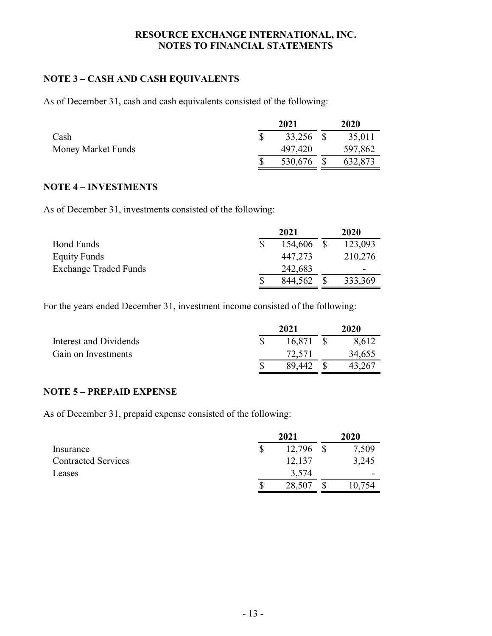## **NOTE 3 – CASH AND CASH EQUIVALENTS**

As of December 31, cash and cash equivalents consisted of the following:

|                    | 2021       |  |         |
|--------------------|------------|--|---------|
| Cash               | 33,256 \$  |  | 35,011  |
| Money Market Funds | 497,420    |  | 597,862 |
|                    | 530,676 \$ |  | 632,873 |

## **NOTE 4 – INVESTMENTS**

As of December 31, investments consisted of the following:

|                              | 2021 |         |  | 2020                     |
|------------------------------|------|---------|--|--------------------------|
| <b>Bond Funds</b>            |      | 154,606 |  | 123,093                  |
| <b>Equity Funds</b>          |      | 447,273 |  | 210,276                  |
| <b>Exchange Traded Funds</b> |      | 242,683 |  | $\overline{\phantom{a}}$ |
|                              |      | 844,562 |  | 333,369                  |

For the years ended December 31, investment income consisted of the following:

|                        | 2021   | 2020   |
|------------------------|--------|--------|
| Interest and Dividends | 16.871 | 8.612  |
| Gain on Investments    | 72,571 | 34,655 |
|                        | 89.442 | 43,267 |

## **NOTE 5 – PREPAID EXPENSE**

As of December 31, prepaid expense consisted of the following:

|                            | 2021 |        |  | 2020   |
|----------------------------|------|--------|--|--------|
| Insurance                  |      | 12,796 |  | 7,509  |
| <b>Contracted Services</b> |      | 12,137 |  | 3,245  |
| Leases                     |      | 3,574  |  | -      |
|                            |      | 28,507 |  | 10,754 |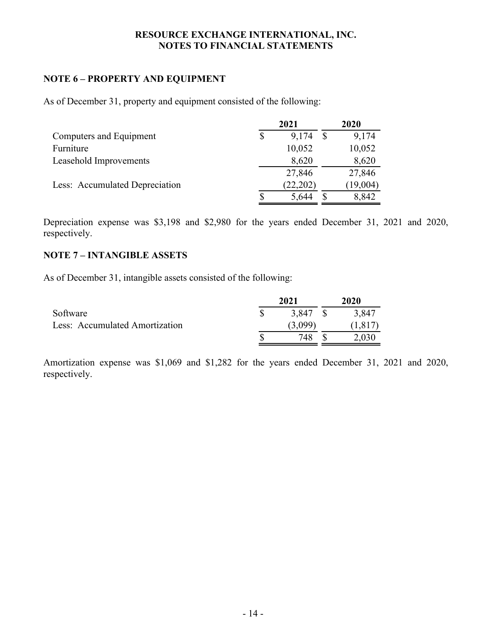## **NOTE 6 – PROPERTY AND EQUIPMENT**

As of December 31, property and equipment consisted of the following:

|                                | 2021      | 2020     |
|--------------------------------|-----------|----------|
| Computers and Equipment        | 9,174     | 9,174    |
| Furniture                      | 10,052    | 10,052   |
| Leasehold Improvements         | 8,620     | 8,620    |
|                                | 27,846    | 27,846   |
| Less: Accumulated Depreciation | (22, 202) | (19,004) |
|                                | 5,644     | 8,842    |

Depreciation expense was \$3,198 and \$2,980 for the years ended December 31, 2021 and 2020, respectively.

## **NOTE 7 – INTANGIBLE ASSETS**

As of December 31, intangible assets consisted of the following:

|                                | 2021    | 2020  |
|--------------------------------|---------|-------|
| Software                       | 3,847   | 3,847 |
| Less: Accumulated Amortization | (3,099) |       |
|                                | 748     |       |

Amortization expense was \$1,069 and \$1,282 for the years ended December 31, 2021 and 2020, respectively.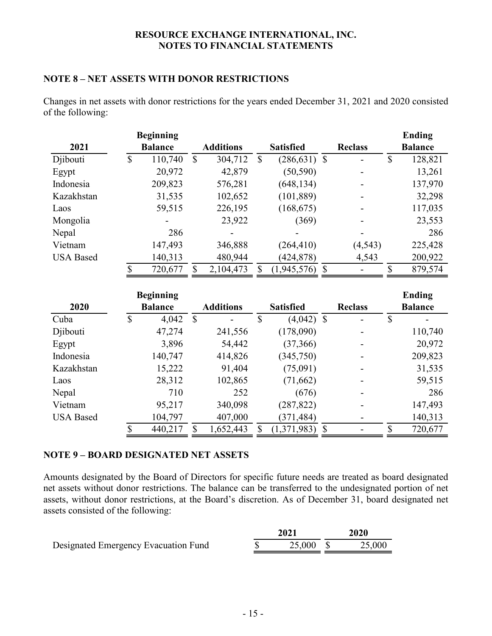#### **NOTE 8 – NET ASSETS WITH DONOR RESTRICTIONS**

Changes in net assets with donor restrictions for the years ended December 31, 2021 and 2020 consisted of the following:

|                  | <b>Beginning</b> |                  |    |                  |              |                          |    | Ending         |  |
|------------------|------------------|------------------|----|------------------|--------------|--------------------------|----|----------------|--|
| 2021             | <b>Balance</b>   | <b>Additions</b> |    | <b>Satisfied</b> |              | <b>Reclass</b>           |    | <b>Balance</b> |  |
| Djibouti         | \$<br>110,740    | \$<br>304,712    | \$ | $(286, 631)$ \$  |              |                          | \$ | 128,821        |  |
| Egypt            | 20,972           | 42,879           |    | (50, 590)        |              | ۰                        |    | 13,261         |  |
| Indonesia        | 209,823          | 576,281          |    | (648, 134)       |              |                          |    | 137,970        |  |
| Kazakhstan       | 31,535           | 102,652          |    | (101, 889)       |              |                          |    | 32,298         |  |
| Laos             | 59,515           | 226,195          |    | (168, 675)       |              |                          |    | 117,035        |  |
| Mongolia         |                  | 23,922           |    | (369)            |              |                          |    | 23,553         |  |
| Nepal            | 286              |                  |    |                  |              |                          |    | 286            |  |
| Vietnam          | 147,493          | 346,888          |    | (264, 410)       |              | (4, 543)                 |    | 225,428        |  |
| <b>USA Based</b> | 140,313          | 480,944          |    | (424, 878)       |              | 4,543                    |    | 200,922        |  |
|                  | 720,677          | 2,104,473        |    | (1, 945, 576)    | <sup>S</sup> | $\overline{\phantom{a}}$ | \$ | 879,574        |  |

|                  | <b>Beginning</b> |              |                  |                  |               |                              |    | Ending         |
|------------------|------------------|--------------|------------------|------------------|---------------|------------------------------|----|----------------|
| 2020             | <b>Balance</b>   |              | <b>Additions</b> | <b>Satisfied</b> |               | <b>Reclass</b>               |    | <b>Balance</b> |
| Cuba             | \$<br>4,042      | $\mathbb{S}$ |                  | \$<br>(4,042)    | $\mathcal{S}$ | $\qquad \qquad \blacksquare$ | \$ |                |
| Diibouti         | 47,274           |              | 241,556          | (178,090)        |               | $\overline{\phantom{a}}$     |    | 110,740        |
| Egypt            | 3,896            |              | 54,442           | (37,366)         |               | $\overline{a}$               |    | 20,972         |
| Indonesia        | 140,747          |              | 414,826          | (345,750)        |               |                              |    | 209,823        |
| Kazakhstan       | 15,222           |              | 91,404           | (75,091)         |               | $\overline{\phantom{0}}$     |    | 31,535         |
| Laos             | 28,312           |              | 102,865          | (71,662)         |               | $\overline{a}$               |    | 59,515         |
| Nepal            | 710              |              | 252              | (676)            |               | $\overline{a}$               |    | 286            |
| Vietnam          | 95,217           |              | 340,098          | (287, 822)       |               | $\overline{\phantom{0}}$     |    | 147,493        |
| <b>USA Based</b> | 104,797          |              | 407,000          | (371, 484)       |               | -                            |    | 140,313        |
|                  | 440,217          |              | 1,652,443        | (1,371,983)      | $\mathcal{S}$ |                              |    | 720,677        |

## **NOTE 9 – BOARD DESIGNATED NET ASSETS**

Amounts designated by the Board of Directors for specific future needs are treated as board designated net assets without donor restrictions. The balance can be transferred to the undesignated portion of net assets, without donor restrictions, at the Board's discretion. As of December 31, board designated net assets consisted of the following:

|                                      | 2021 |           |  | <b>2020</b> |
|--------------------------------------|------|-----------|--|-------------|
| Designated Emergency Evacuation Fund |      | 25,000 \$ |  | 25,000      |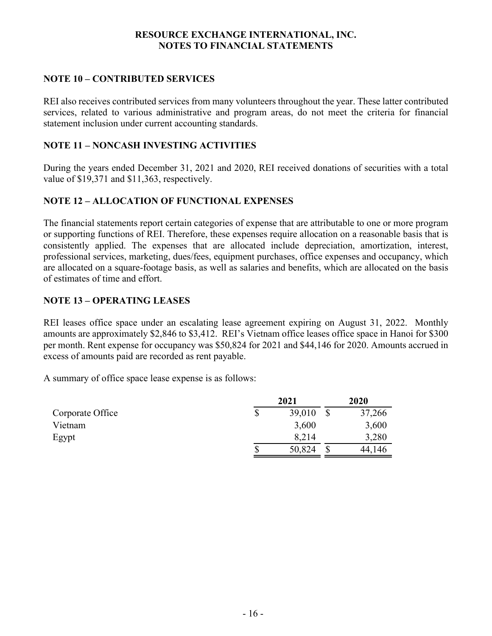## **NOTE 10 – CONTRIBUTED SERVICES**

REI also receives contributed services from many volunteers throughout the year. These latter contributed services, related to various administrative and program areas, do not meet the criteria for financial statement inclusion under current accounting standards.

## **NOTE 11 – NONCASH INVESTING ACTIVITIES**

During the years ended December 31, 2021 and 2020, REI received donations of securities with a total value of \$19,371 and \$11,363, respectively.

## **NOTE 12 – ALLOCATION OF FUNCTIONAL EXPENSES**

The financial statements report certain categories of expense that are attributable to one or more program or supporting functions of REI. Therefore, these expenses require allocation on a reasonable basis that is consistently applied. The expenses that are allocated include depreciation, amortization, interest, professional services, marketing, dues/fees, equipment purchases, office expenses and occupancy, which are allocated on a square-footage basis, as well as salaries and benefits, which are allocated on the basis of estimates of time and effort.

## **NOTE 13 – OPERATING LEASES**

REI leases office space under an escalating lease agreement expiring on August 31, 2022. Monthly amounts are approximately \$2,846 to \$3,412. REI's Vietnam office leases office space in Hanoi for \$300 per month. Rent expense for occupancy was \$50,824 for 2021 and \$44,146 for 2020. Amounts accrued in excess of amounts paid are recorded as rent payable.

A summary of office space lease expense is as follows:

|                  | 2021   |  |        |  |
|------------------|--------|--|--------|--|
| Corporate Office | 39,010 |  | 37,266 |  |
| Vietnam          | 3,600  |  | 3,600  |  |
| Egypt            | 8,214  |  | 3,280  |  |
|                  | 50,824 |  | 44,146 |  |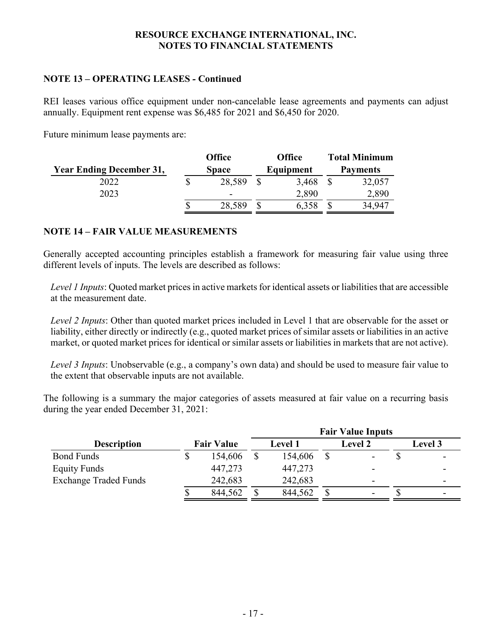## **NOTE 13 – OPERATING LEASES** *-* **Continued**

REI leases various office equipment under non-cancelable lease agreements and payments can adjust annually. Equipment rent expense was \$6,485 for 2021 and \$6,450 for 2020.

Future minimum lease payments are:

|                                 | <b>Office</b> |                          |  | <b>Office</b> | <b>Total Minimum</b> |                 |  |
|---------------------------------|---------------|--------------------------|--|---------------|----------------------|-----------------|--|
| <b>Year Ending December 31,</b> |               | <b>Space</b>             |  | Equipment     |                      | <b>Payments</b> |  |
| 2022                            |               | 28,589                   |  | 3,468         |                      | 32,057          |  |
| 2023                            |               | $\overline{\phantom{0}}$ |  | 2,890         |                      | 2,890           |  |
|                                 |               | 28,589                   |  | 6,358         |                      | 34,947          |  |

## **NOTE 14 – FAIR VALUE MEASUREMENTS**

Generally accepted accounting principles establish a framework for measuring fair value using three different levels of inputs. The levels are described as follows:

*Level 1 Inputs*: Quoted market prices in active markets for identical assets or liabilities that are accessible at the measurement date.

*Level 2 Inputs*: Other than quoted market prices included in Level 1 that are observable for the asset or liability, either directly or indirectly (e.g., quoted market prices of similar assets or liabilities in an active market, or quoted market prices for identical or similar assets or liabilities in markets that are not active).

*Level 3 Inputs*: Unobservable (e.g., a company's own data) and should be used to measure fair value to the extent that observable inputs are not available.

The following is a summary the major categories of assets measured at fair value on a recurring basis during the year ended December 31, 2021:

|                              |                   |         |                | <b>Fair Value Inputs</b> |                |   |
|------------------------------|-------------------|---------|----------------|--------------------------|----------------|---|
| <b>Description</b>           | <b>Fair Value</b> |         | <b>Level 1</b> | <b>Level 2</b>           | <b>Level 3</b> |   |
| <b>Bond Funds</b>            |                   | 154,606 | 154,606        |                          |                |   |
| <b>Equity Funds</b>          |                   | 447,273 | 447,273        |                          |                |   |
| <b>Exchange Traded Funds</b> |                   | 242,683 | 242,683        | $\overline{\phantom{0}}$ |                |   |
|                              |                   | 844,562 | 844,562        | -                        |                | - |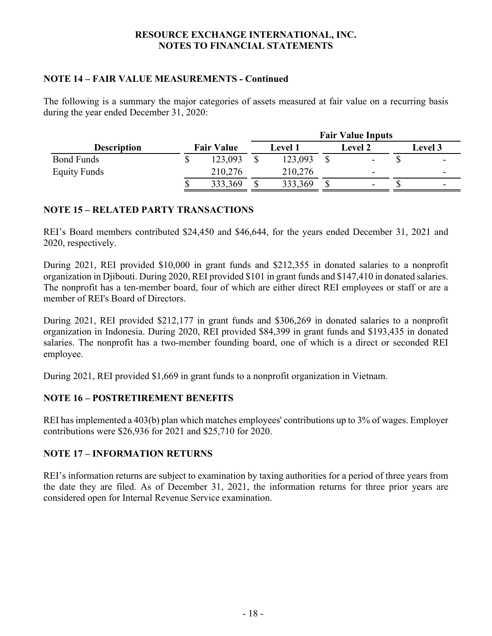## **NOTE 14 – FAIR VALUE MEASUREMENTS** *-* **Continued**

The following is a summary the major categories of assets measured at fair value on a recurring basis during the year ended December 31, 2020:

|                     |                   |         |  | <b>Fair Value Inputs</b> |  |                |  |                |  |
|---------------------|-------------------|---------|--|--------------------------|--|----------------|--|----------------|--|
| <b>Description</b>  | <b>Fair Value</b> |         |  | <b>Level 1</b>           |  | <b>Level 2</b> |  | <b>Level 3</b> |  |
| <b>Bond Funds</b>   |                   | 123,093 |  | 123,093                  |  | -              |  |                |  |
| <b>Equity Funds</b> |                   | 210,276 |  | 210,276                  |  | -              |  |                |  |
|                     |                   | 333,369 |  | 333,369                  |  | -              |  |                |  |

## **NOTE 15 – RELATED PARTY TRANSACTIONS**

REI's Board members contributed \$24,450 and \$46,644, for the years ended December 31, 2021 and 2020, respectively.

During 2021, REI provided \$10,000 in grant funds and \$212,355 in donated salaries to a nonprofit organization in Djibouti. During 2020, REI provided \$101 in grant funds and \$147,410 in donated salaries. The nonprofit has a ten-member board, four of which are either direct REI employees or staff or are a member of REI's Board of Directors.

During 2021, REI provided \$212,177 in grant funds and \$306,269 in donated salaries to a nonprofit organization in Indonesia. During 2020, REI provided \$84,399 in grant funds and \$193,435 in donated salaries. The nonprofit has a two-member founding board, one of which is a direct or seconded REI employee.

During 2021, REI provided \$1,669 in grant funds to a nonprofit organization in Vietnam.

## **NOTE 16 – POSTRETIREMENT BENEFITS**

REI has implemented a 403(b) plan which matches employees' contributions up to 3% of wages. Employer contributions were \$26,936 for 2021 and \$25,710 for 2020.

## **NOTE 17 – INFORMATION RETURNS**

REI's information returns are subject to examination by taxing authorities for a period of three years from the date they are filed. As of December 31, 2021, the information returns for three prior years are considered open for Internal Revenue Service examination.